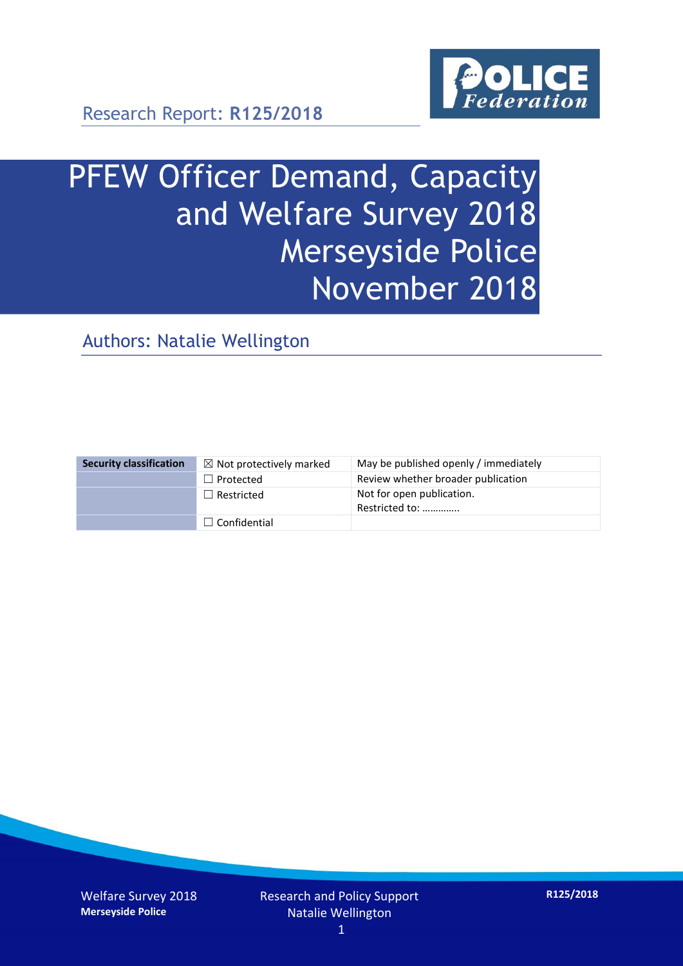

# PFEW Officer Demand, Capacity and Welfare Survey 2018 Merseyside Police November 2018

Authors: Natalie Wellington

| <b>Security classification</b> | $\boxtimes$ Not protectively marked | May be published openly / immediately       |
|--------------------------------|-------------------------------------|---------------------------------------------|
|                                | $\Box$ Protected                    | Review whether broader publication          |
|                                | $\Box$ Restricted                   | Not for open publication.<br>Restricted to: |
|                                | $\Box$ Confidential                 |                                             |

Welfare Survey 2018 **Merseyside Police**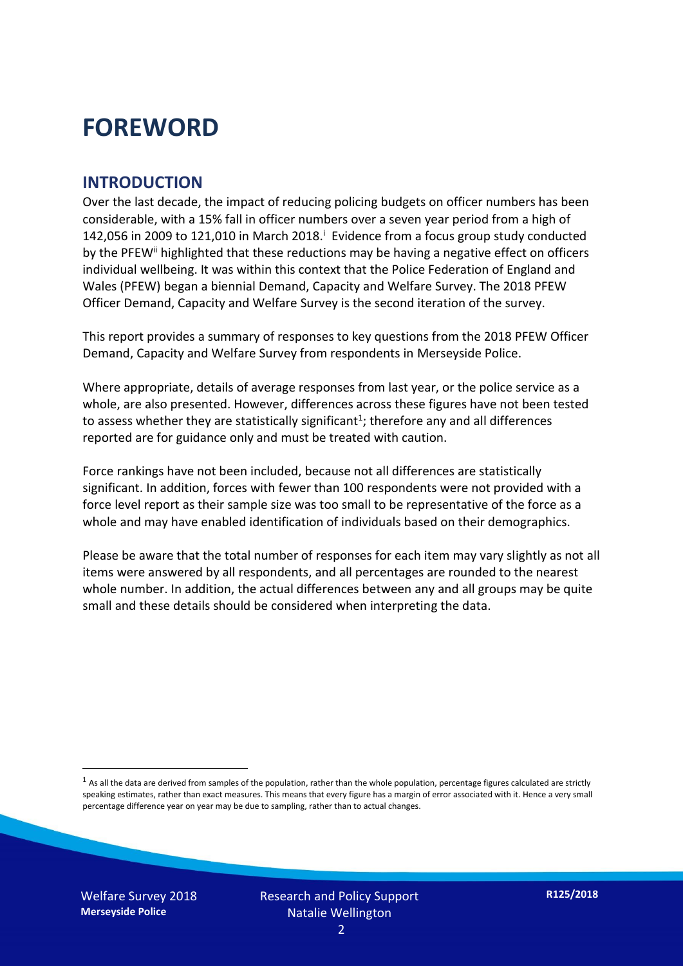### **FOREWORD**

#### **INTRODUCTION**

Over the last decade, the impact of reducing policing budgets on officer numbers has been considerable, with a 15% fall in officer numbers over a seven year period from a high of 142,056 in 2009 to 121,010 in March 2018. $^{\mathrm{i}}$  Evidence from a focus group study conducted by the PFEW<sup>ii</sup> highlighted that these reductions may be having a negative effect on officers individual wellbeing. It was within this context that the Police Federation of England and Wales (PFEW) began a biennial Demand, Capacity and Welfare Survey. The 2018 PFEW Officer Demand, Capacity and Welfare Survey is the second iteration of the survey.

This report provides a summary of responses to key questions from the 2018 PFEW Officer Demand, Capacity and Welfare Survey from respondents in Merseyside Police.

Where appropriate, details of average responses from last year, or the police service as a whole, are also presented. However, differences across these figures have not been tested to assess whether they are statistically significant<sup>1</sup>; therefore any and all differences reported are for guidance only and must be treated with caution.

Force rankings have not been included, because not all differences are statistically significant. In addition, forces with fewer than 100 respondents were not provided with a force level report as their sample size was too small to be representative of the force as a whole and may have enabled identification of individuals based on their demographics.

Please be aware that the total number of responses for each item may vary slightly as not all items were answered by all respondents, and all percentages are rounded to the nearest whole number. In addition, the actual differences between any and all groups may be quite small and these details should be considered when interpreting the data.

-

 $<sup>1</sup>$  As all the data are derived from samples of the population, rather than the whole population, percentage figures calculated are strictly</sup> speaking estimates, rather than exact measures. This means that every figure has a margin of error associated with it. Hence a very small percentage difference year on year may be due to sampling, rather than to actual changes.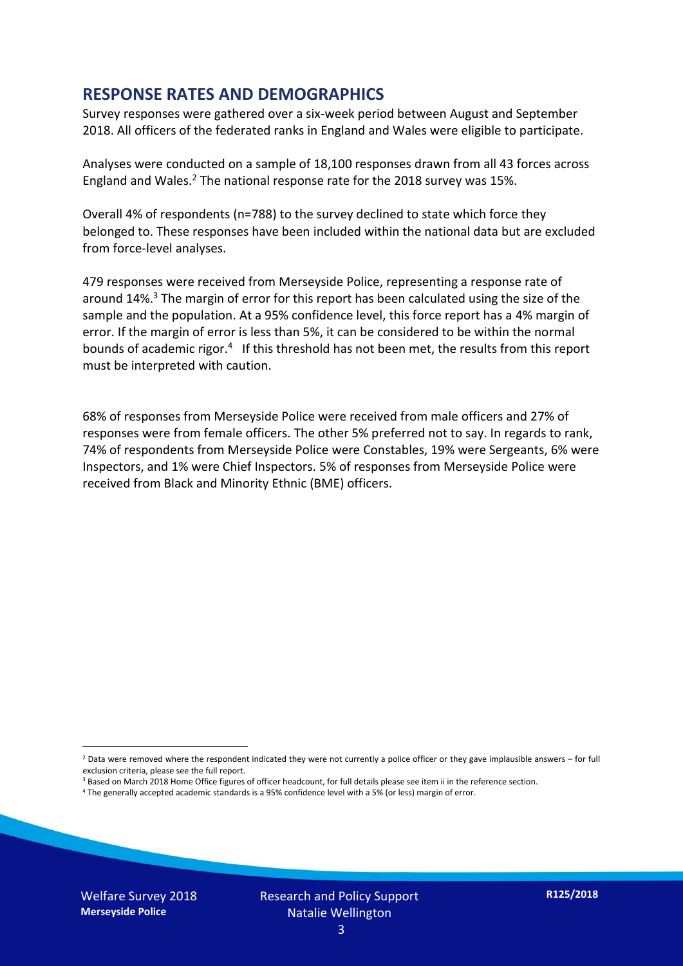#### **RESPONSE RATES AND DEMOGRAPHICS**

Survey responses were gathered over a six-week period between August and September 2018. All officers of the federated ranks in England and Wales were eligible to participate.

Analyses were conducted on a sample of 18,100 responses drawn from all 43 forces across England and Wales.<sup>2</sup> The national response rate for the 2018 survey was 15%.

Overall 4% of respondents (n=788) to the survey declined to state which force they belonged to. These responses have been included within the national data but are excluded from force-level analyses.

479 responses were received from Merseyside Police, representing a response rate of around 14%. <sup>3</sup> The margin of error for this report has been calculated using the size of the sample and the population. At a 95% confidence level, this force report has a 4% margin of error. If the margin of error is less than 5%, it can be considered to be within the normal bounds of academic rigor.<sup>4</sup> If this threshold has not been met, the results from this report must be interpreted with caution.

68% of responses from Merseyside Police were received from male officers and 27% of responses were from female officers. The other 5% preferred not to say. In regards to rank, 74% of respondents from Merseyside Police were Constables, 19% were Sergeants, 6% were Inspectors, and 1% were Chief Inspectors. 5% of responses from Merseyside Police were received from Black and Minority Ethnic (BME) officers.

- <sup>3</sup> Based on March 2018 Home Office figures of officer headcount, for full details please see item ii in the reference section.
- <sup>4</sup> The generally accepted academic standards is a 95% confidence level with a 5% (or less) margin of error.

-

 $2$  Data were removed where the respondent indicated they were not currently a police officer or they gave implausible answers – for full exclusion criteria, please see the full report.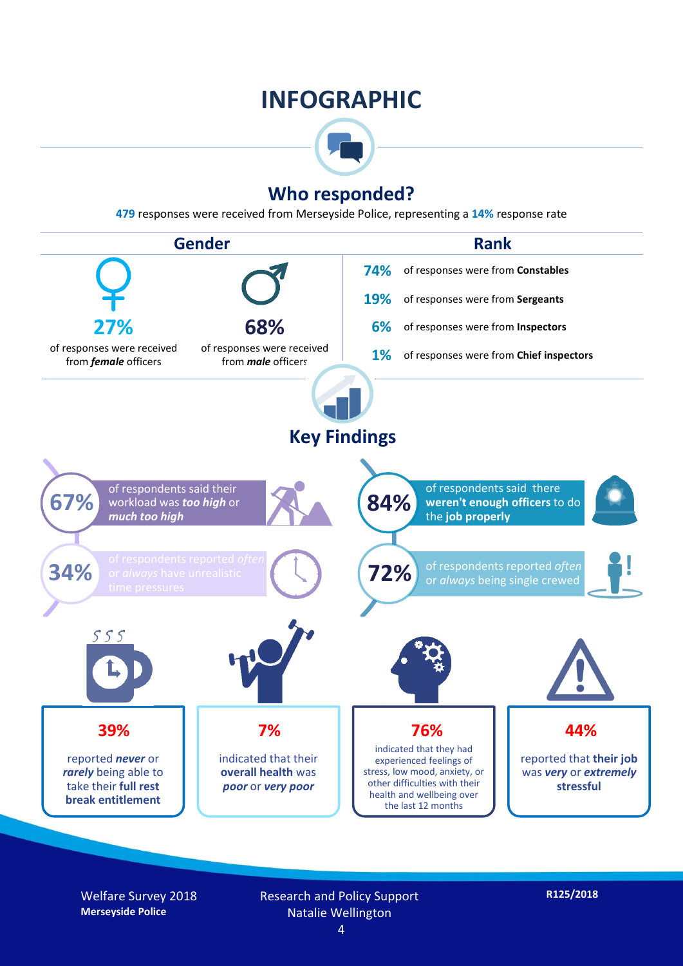### **INFOGRAPHIC**



#### **Who responded?**

**479** responses were received from Merseyside Police, representing a **14%** response rate



Welfare Survey 2018 **Merseyside Police**

Research and Policy Support Natalie Wellington

**R125/2018**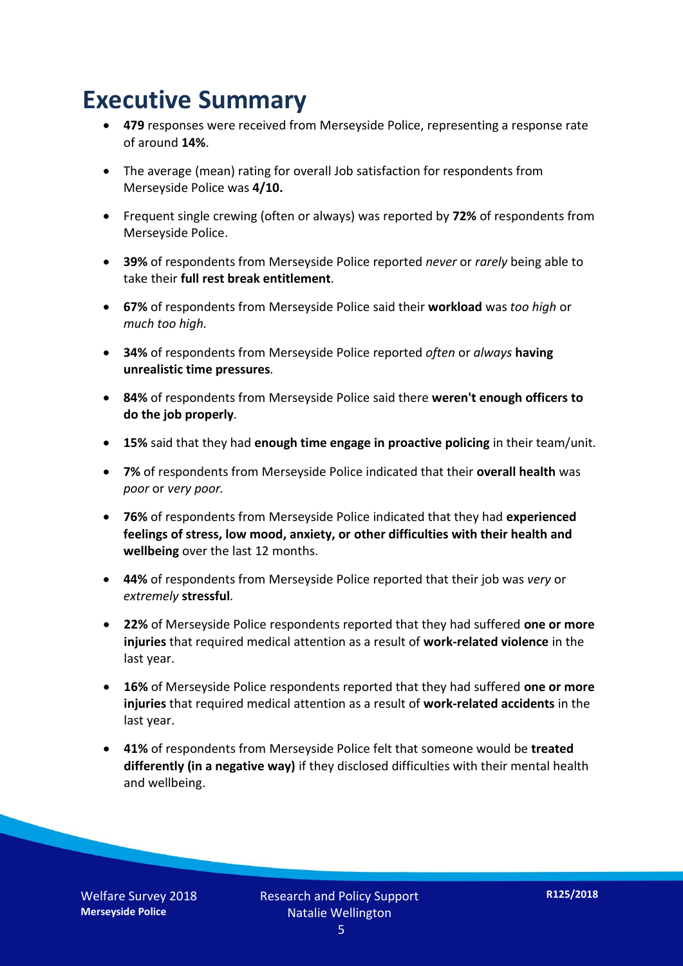### **Executive Summary**

- **479** responses were received from Merseyside Police, representing a response rate of around **14%**.
- The average (mean) rating for overall Job satisfaction for respondents from Merseyside Police was **4/10.**
- Frequent single crewing (often or always) was reported by **72%** of respondents from Merseyside Police.
- **39%** of respondents from Merseyside Police reported *never* or *rarely* being able to take their **full rest break entitlement***.*
- **67%** of respondents from Merseyside Police said their **workload** was *too high* or *much too high.*
- **34%** of respondents from Merseyside Police reported *often* or *always* **having unrealistic time pressures***.*
- **84%** of respondents from Merseyside Police said there **weren't enough officers to do the job properly***.*
- **15%** said that they had **enough time engage in proactive policing** in their team/unit*.*
- **7%** of respondents from Merseyside Police indicated that their **overall health** was *poor* or *very poor.*
- **76%** of respondents from Merseyside Police indicated that they had **experienced feelings of stress, low mood, anxiety, or other difficulties with their health and wellbeing** over the last 12 months.
- **44%** of respondents from Merseyside Police reported that their job was *very* or *extremely* **stressful***.*
- **22%** of Merseyside Police respondents reported that they had suffered **one or more injuries** that required medical attention as a result of **work-related violence** in the last year.
- **16%** of Merseyside Police respondents reported that they had suffered **one or more injuries** that required medical attention as a result of **work-related accidents** in the last year.
- **41%** of respondents from Merseyside Police felt that someone would be **treated differently (in a negative way)** if they disclosed difficulties with their mental health and wellbeing.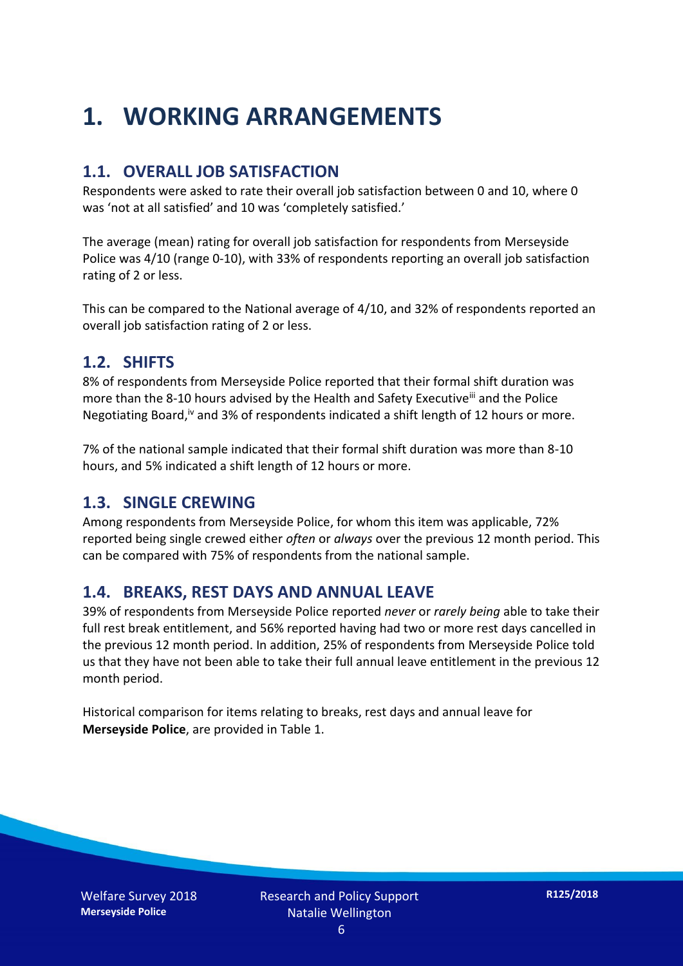## **1. WORKING ARRANGEMENTS**

#### **1.1. OVERALL JOB SATISFACTION**

Respondents were asked to rate their overall job satisfaction between 0 and 10, where 0 was 'not at all satisfied' and 10 was 'completely satisfied.'

The average (mean) rating for overall job satisfaction for respondents from Merseyside Police was 4/10 (range 0-10), with 33% of respondents reporting an overall job satisfaction rating of 2 or less.

This can be compared to the National average of 4/10, and 32% of respondents reported an overall job satisfaction rating of 2 or less.

#### **1.2. SHIFTS**

8% of respondents from Merseyside Police reported that their formal shift duration was more than the 8-10 hours advised by the Health and Safety Executive<sup>iii</sup> and the Police Negotiating Board,<sup>iv</sup> and 3% of respondents indicated a shift length of 12 hours or more.

7% of the national sample indicated that their formal shift duration was more than 8-10 hours, and 5% indicated a shift length of 12 hours or more.

#### **1.3. SINGLE CREWING**

Among respondents from Merseyside Police, for whom this item was applicable, 72% reported being single crewed either *often* or *always* over the previous 12 month period. This can be compared with 75% of respondents from the national sample.

#### **1.4. BREAKS, REST DAYS AND ANNUAL LEAVE**

39% of respondents from Merseyside Police reported *never* or *rarely being* able to take their full rest break entitlement, and 56% reported having had two or more rest days cancelled in the previous 12 month period. In addition, 25% of respondents from Merseyside Police told us that they have not been able to take their full annual leave entitlement in the previous 12 month period.

Historical comparison for items relating to breaks, rest days and annual leave for **Merseyside Police**, are provided in Table 1.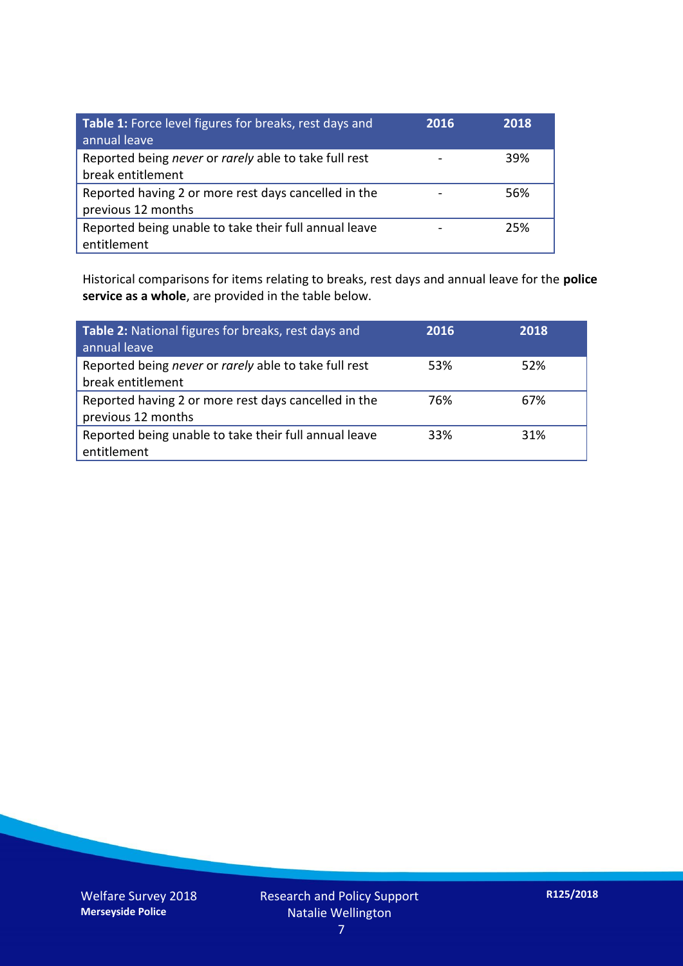| Table 1: Force level figures for breaks, rest days and<br>annual leave     | 2016 | 2018 |
|----------------------------------------------------------------------------|------|------|
| Reported being never or rarely able to take full rest<br>break entitlement |      | 39%  |
| Reported having 2 or more rest days cancelled in the<br>previous 12 months |      | 56%  |
| Reported being unable to take their full annual leave<br>entitlement       |      | 25%  |

Historical comparisons for items relating to breaks, rest days and annual leave for the **police service as a whole**, are provided in the table below.

| Table 2: National figures for breaks, rest days and<br>annual leave        | 2016 | 2018 |
|----------------------------------------------------------------------------|------|------|
| Reported being never or rarely able to take full rest<br>break entitlement | 53%  | 52%  |
| Reported having 2 or more rest days cancelled in the<br>previous 12 months | 76%  | 67%  |
| Reported being unable to take their full annual leave<br>entitlement       | 33%  | 31%  |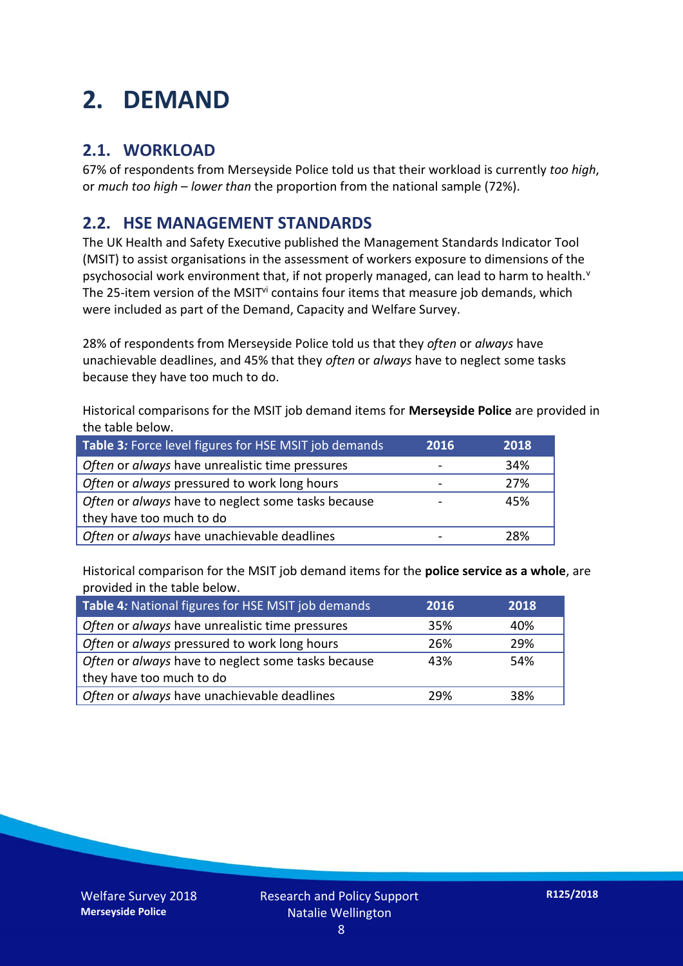## **2. DEMAND**

#### **2.1. WORKLOAD**

67% of respondents from Merseyside Police told us that their workload is currently *too high*, or *much too high* – *lower than* the proportion from the national sample (72%).

#### **2.2. HSE MANAGEMENT STANDARDS**

The UK Health and Safety Executive published the Management Standards Indicator Tool (MSIT) to assist organisations in the assessment of workers exposure to dimensions of the psychosocial work environment that, if not properly managed, can lead to harm to health. $v$ The 25-item version of the MSIT<sup>vi</sup> contains four items that measure job demands, which were included as part of the Demand, Capacity and Welfare Survey.

28% of respondents from Merseyside Police told us that they *often* or *always* have unachievable deadlines, and 45% that they *often* or *always* have to neglect some tasks because they have too much to do.

Historical comparisons for the MSIT job demand items for **Merseyside Police** are provided in the table below.

| Table 3: Force level figures for HSE MSIT job demands | 2016 | 2018 |
|-------------------------------------------------------|------|------|
| Often or always have unrealistic time pressures       |      | 34%  |
| Often or always pressured to work long hours          |      | 27%  |
| Often or always have to neglect some tasks because    |      | 45%  |
| they have too much to do                              |      |      |
| Often or always have unachievable deadlines           |      | 28%  |

Historical comparison for the MSIT job demand items for the **police service as a whole**, are provided in the table below.

| Table 4: National figures for HSE MSIT job demands | 2016 | 2018 |
|----------------------------------------------------|------|------|
| Often or always have unrealistic time pressures    | 35%  | 40%  |
| Often or always pressured to work long hours       | 26%  | 29%  |
| Often or always have to neglect some tasks because | 43%  | 54%  |
| they have too much to do                           |      |      |
| Often or always have unachievable deadlines        | 29%  | 38%  |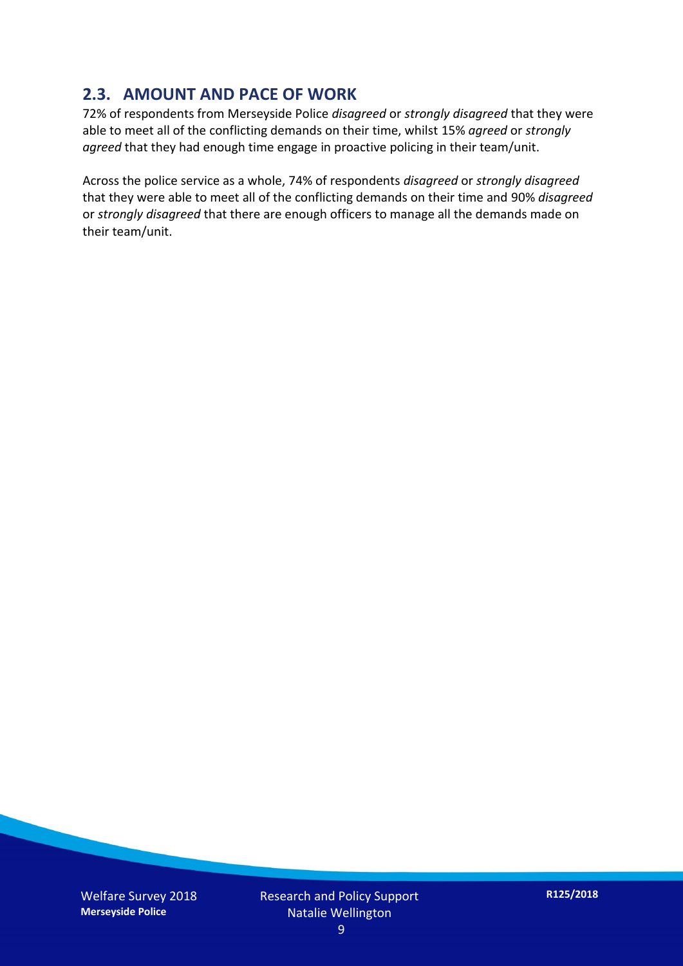#### **2.3. AMOUNT AND PACE OF WORK**

72% of respondents from Merseyside Police *disagreed* or *strongly disagreed* that they were able to meet all of the conflicting demands on their time, whilst 15% *agreed* or *strongly agreed* that they had enough time engage in proactive policing in their team/unit.

Across the police service as a whole, 74% of respondents *disagreed* or *strongly disagreed* that they were able to meet all of the conflicting demands on their time and 90% *disagreed* or *strongly disagreed* that there are enough officers to manage all the demands made on their team/unit.

Welfare Survey 2018 **Merseyside Police**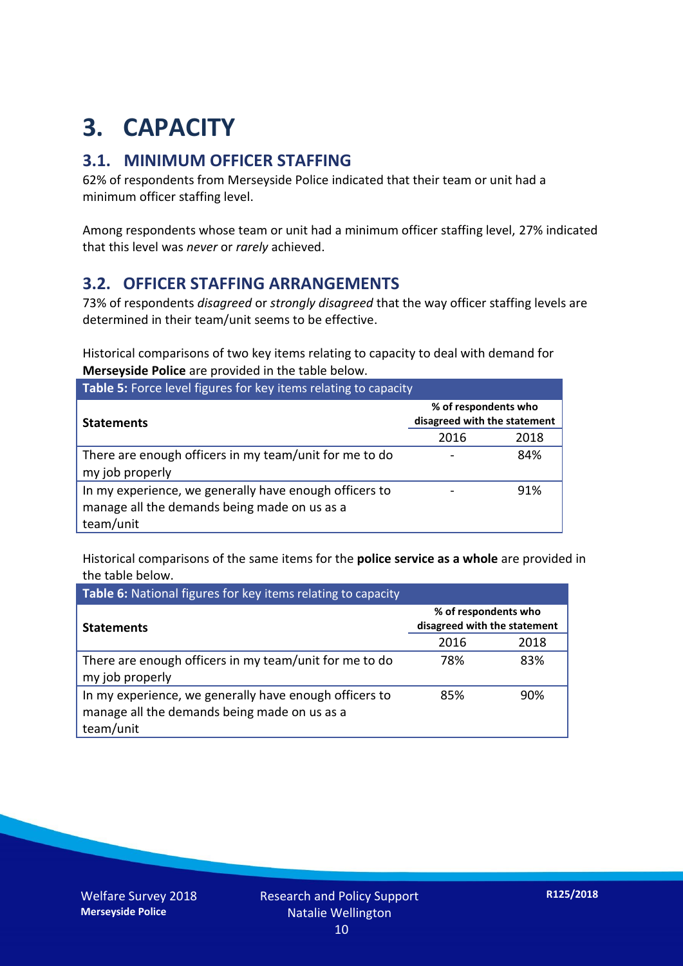## **3. CAPACITY**

#### **3.1. MINIMUM OFFICER STAFFING**

62% of respondents from Merseyside Police indicated that their team or unit had a minimum officer staffing level.

Among respondents whose team or unit had a minimum officer staffing level, 27% indicated that this level was *never* or *rarely* achieved.

#### **3.2. OFFICER STAFFING ARRANGEMENTS**

73% of respondents *disagreed* or *strongly disagreed* that the way officer staffing levels are determined in their team/unit seems to be effective.

Historical comparisons of two key items relating to capacity to deal with demand for **Merseyside Police** are provided in the table below.

| Table 5: Force level figures for key items relating to capacity                                                     |                                                      |      |  |  |
|---------------------------------------------------------------------------------------------------------------------|------------------------------------------------------|------|--|--|
| <b>Statements</b>                                                                                                   | % of respondents who<br>disagreed with the statement |      |  |  |
|                                                                                                                     | 2016                                                 | 2018 |  |  |
| There are enough officers in my team/unit for me to do<br>my job properly                                           |                                                      | 84%  |  |  |
| In my experience, we generally have enough officers to<br>manage all the demands being made on us as a<br>team/unit |                                                      | 91%  |  |  |

Historical comparisons of the same items for the **police service as a whole** are provided in the table below.

| Table 6: National figures for key items relating to capacity                                                        |                                                      |      |  |  |
|---------------------------------------------------------------------------------------------------------------------|------------------------------------------------------|------|--|--|
| <b>Statements</b>                                                                                                   | % of respondents who<br>disagreed with the statement |      |  |  |
|                                                                                                                     | 2016                                                 | 2018 |  |  |
| There are enough officers in my team/unit for me to do<br>my job properly                                           | 78%                                                  | 83%  |  |  |
| In my experience, we generally have enough officers to<br>manage all the demands being made on us as a<br>team/unit | 85%                                                  | 90%  |  |  |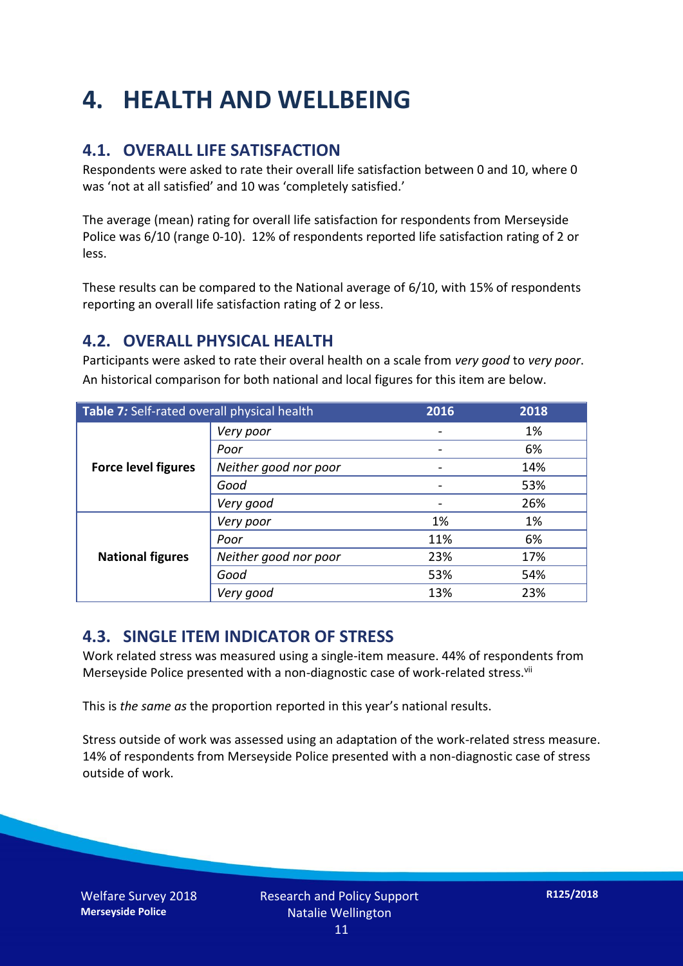## **4. HEALTH AND WELLBEING**

#### **4.1. OVERALL LIFE SATISFACTION**

Respondents were asked to rate their overall life satisfaction between 0 and 10, where 0 was 'not at all satisfied' and 10 was 'completely satisfied.'

The average (mean) rating for overall life satisfaction for respondents from Merseyside Police was 6/10 (range 0-10). 12% of respondents reported life satisfaction rating of 2 or less.

These results can be compared to the National average of 6/10, with 15% of respondents reporting an overall life satisfaction rating of 2 or less.

#### **4.2. OVERALL PHYSICAL HEALTH**

Participants were asked to rate their overal health on a scale from *very good* to *very poor*. An historical comparison for both national and local figures for this item are below.

| Table 7: Self-rated overall physical health |                       | 2016 | 2018 |
|---------------------------------------------|-----------------------|------|------|
|                                             | Very poor             |      | 1%   |
|                                             | Poor                  |      | 6%   |
| <b>Force level figures</b>                  | Neither good nor poor |      | 14%  |
|                                             | Good                  |      | 53%  |
|                                             | Very good             |      | 26%  |
| <b>National figures</b>                     | Very poor             | 1%   | 1%   |
|                                             | Poor                  | 11%  | 6%   |
|                                             | Neither good nor poor | 23%  | 17%  |
|                                             | Good                  | 53%  | 54%  |
|                                             | Very good             | 13%  | 23%  |

#### **4.3. SINGLE ITEM INDICATOR OF STRESS**

Work related stress was measured using a single-item measure. 44% of respondents from Merseyside Police presented with a non-diagnostic case of work-related stress.<sup>vii</sup>

This is *the same as* the proportion reported in this year's national results.

Stress outside of work was assessed using an adaptation of the work-related stress measure. 14% of respondents from Merseyside Police presented with a non-diagnostic case of stress outside of work.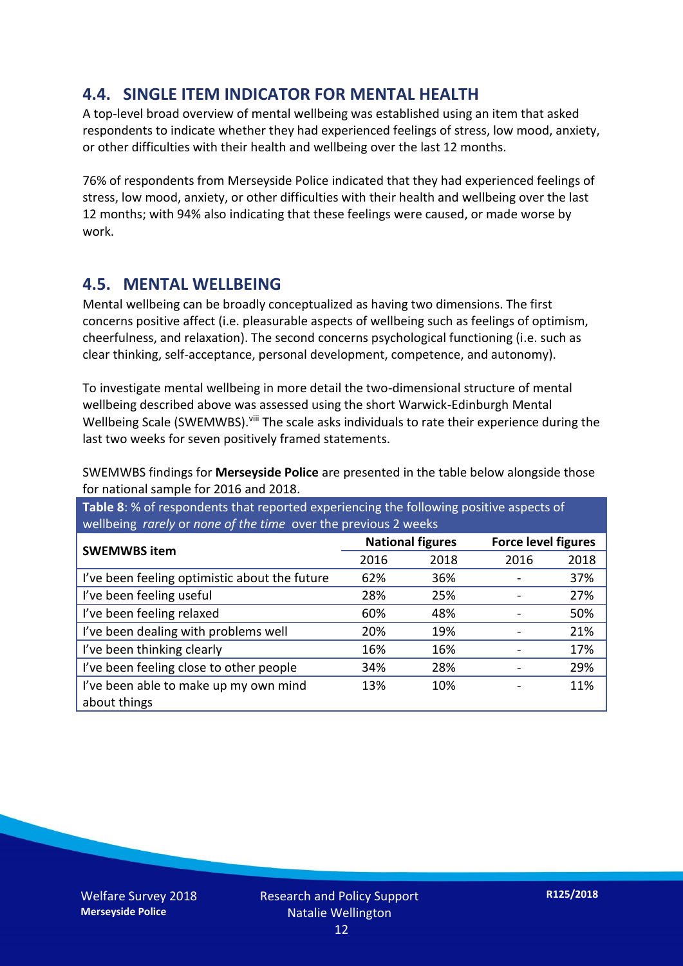#### **4.4. SINGLE ITEM INDICATOR FOR MENTAL HEALTH**

A top-level broad overview of mental wellbeing was established using an item that asked respondents to indicate whether they had experienced feelings of stress, low mood, anxiety, or other difficulties with their health and wellbeing over the last 12 months.

76% of respondents from Merseyside Police indicated that they had experienced feelings of stress, low mood, anxiety, or other difficulties with their health and wellbeing over the last 12 months; with 94% also indicating that these feelings were caused, or made worse by work.

#### **4.5. MENTAL WELLBEING**

Mental wellbeing can be broadly conceptualized as having two dimensions. The first concerns positive affect (i.e. pleasurable aspects of wellbeing such as feelings of optimism, cheerfulness, and relaxation). The second concerns psychological functioning (i.e. such as clear thinking, self-acceptance, personal development, competence, and autonomy).

To investigate mental wellbeing in more detail the two-dimensional structure of mental wellbeing described above was assessed using the short Warwick-Edinburgh Mental Wellbeing Scale (SWEMWBS). viii The scale asks individuals to rate their experience during the last two weeks for seven positively framed statements.

SWEMWBS findings for **Merseyside Police** are presented in the table below alongside those for national sample for 2016 and 2018.

**Table 8**: % of respondents that reported experiencing the following positive aspects of wellbeing *rarely* or *none of the time* over the previous 2 weeks

| <b>SWEMWBS item</b>                           | <b>National figures</b> |      | <b>Force level figures</b> |      |
|-----------------------------------------------|-------------------------|------|----------------------------|------|
|                                               | 2016                    | 2018 | 2016                       | 2018 |
| I've been feeling optimistic about the future | 62%                     | 36%  |                            | 37%  |
| I've been feeling useful                      | 28%                     | 25%  |                            | 27%  |
| I've been feeling relaxed                     | 60%                     | 48%  |                            | 50%  |
| I've been dealing with problems well          | 20%                     | 19%  |                            | 21%  |
| I've been thinking clearly                    | 16%                     | 16%  |                            | 17%  |
| I've been feeling close to other people       | 34%                     | 28%  |                            | 29%  |
| I've been able to make up my own mind         | 13%                     | 10%  |                            | 11%  |
| about things                                  |                         |      |                            |      |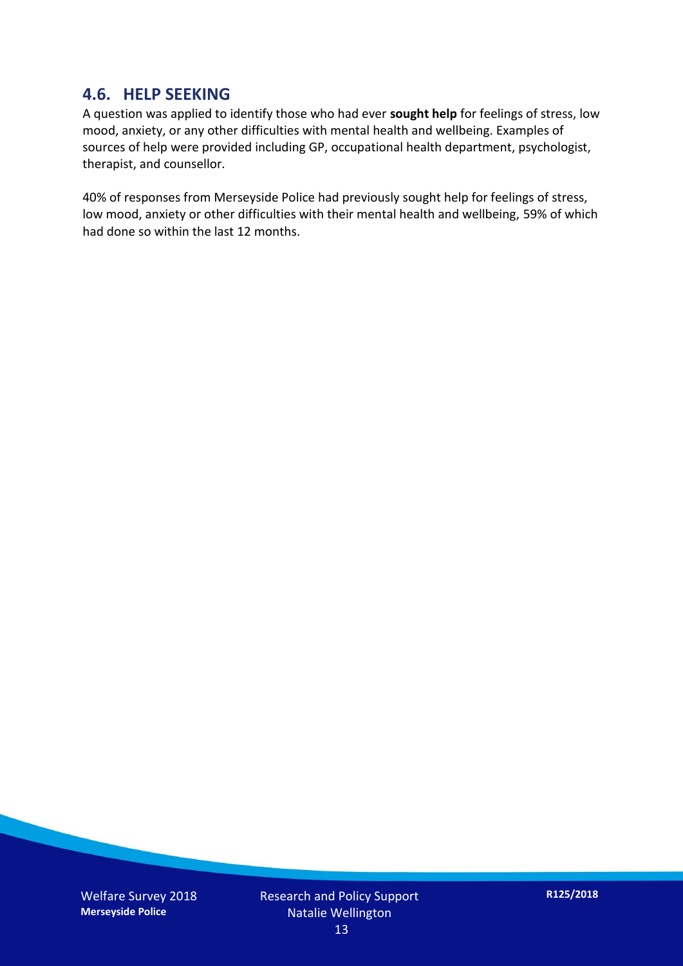#### **4.6. HELP SEEKING**

A question was applied to identify those who had ever **sought help** for feelings of stress, low mood, anxiety, or any other difficulties with mental health and wellbeing. Examples of sources of help were provided including GP, occupational health department, psychologist, therapist, and counsellor.

40% of responses from Merseyside Police had previously sought help for feelings of stress, low mood, anxiety or other difficulties with their mental health and wellbeing, 59% of which had done so within the last 12 months.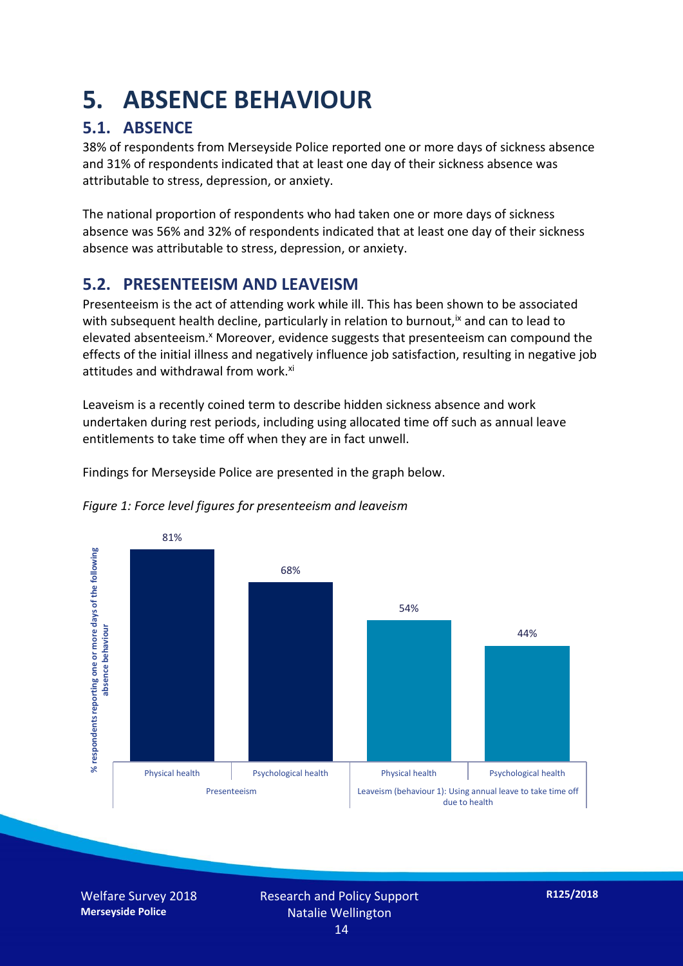## **5. ABSENCE BEHAVIOUR**

#### **5.1. ABSENCE**

38% of respondents from Merseyside Police reported one or more days of sickness absence and 31% of respondents indicated that at least one day of their sickness absence was attributable to stress, depression, or anxiety.

The national proportion of respondents who had taken one or more days of sickness absence was 56% and 32% of respondents indicated that at least one day of their sickness absence was attributable to stress, depression, or anxiety.

#### **5.2. PRESENTEEISM AND LEAVEISM**

Presenteeism is the act of attending work while ill. This has been shown to be associated with subsequent health decline, particularly in relation to burnout,  $\alpha$  and can to lead to elevated absenteeism.<sup>x</sup> Moreover, evidence suggests that presenteeism can compound the effects of the initial illness and negatively influence job satisfaction, resulting in negative job attitudes and withdrawal from work.<sup>xi</sup>

Leaveism is a recently coined term to describe hidden sickness absence and work undertaken during rest periods, including using allocated time off such as annual leave entitlements to take time off when they are in fact unwell.

Findings for Merseyside Police are presented in the graph below.



*Figure 1: Force level figures for presenteeism and leaveism*

Welfare Survey 2018 **Merseyside Police**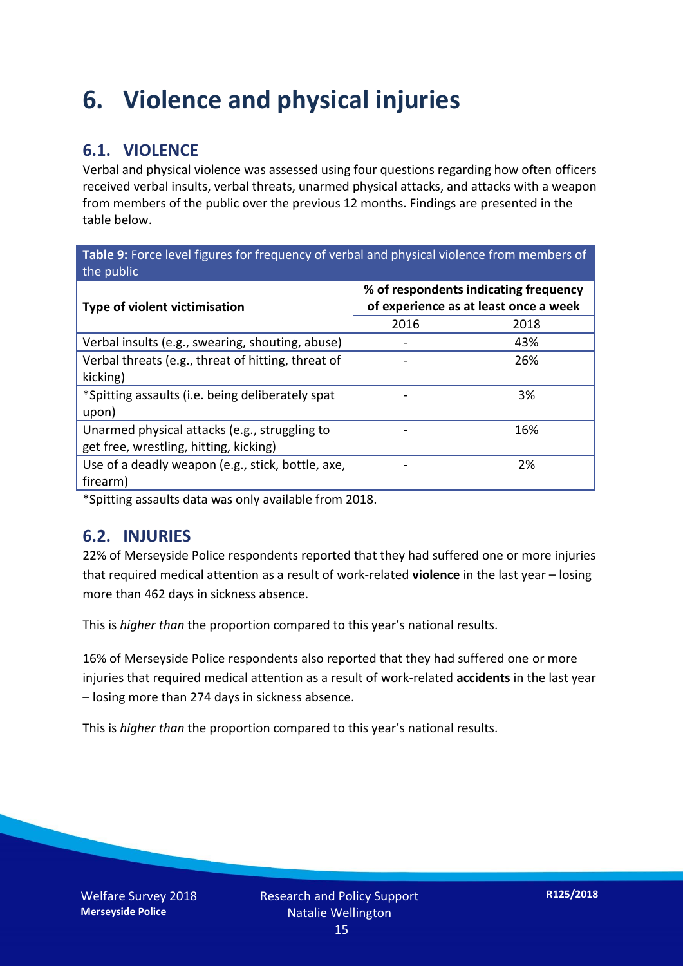### **6. Violence and physical injuries**

#### **6.1. VIOLENCE**

Verbal and physical violence was assessed using four questions regarding how often officers received verbal insults, verbal threats, unarmed physical attacks, and attacks with a weapon from members of the public over the previous 12 months. Findings are presented in the table below.

**Table 9:** Force level figures for frequency of verbal and physical violence from members of the public

| Type of violent victimisation                      | % of respondents indicating frequency<br>of experience as at least once a week |      |  |
|----------------------------------------------------|--------------------------------------------------------------------------------|------|--|
|                                                    | 2016                                                                           | 2018 |  |
| Verbal insults (e.g., swearing, shouting, abuse)   |                                                                                | 43%  |  |
| Verbal threats (e.g., threat of hitting, threat of |                                                                                | 26%  |  |
| kicking)                                           |                                                                                |      |  |
| *Spitting assaults (i.e. being deliberately spat   |                                                                                | 3%   |  |
| upon)                                              |                                                                                |      |  |
| Unarmed physical attacks (e.g., struggling to      |                                                                                | 16%  |  |
| get free, wrestling, hitting, kicking)             |                                                                                |      |  |
| Use of a deadly weapon (e.g., stick, bottle, axe,  |                                                                                | 2%   |  |
| firearm)                                           |                                                                                |      |  |

\*Spitting assaults data was only available from 2018.

#### **6.2. INJURIES**

22% of Merseyside Police respondents reported that they had suffered one or more injuries that required medical attention as a result of work-related **violence** in the last year – losing more than 462 days in sickness absence.

This is *higher than* the proportion compared to this year's national results.

16% of Merseyside Police respondents also reported that they had suffered one or more injuries that required medical attention as a result of work-related **accidents** in the last year – losing more than 274 days in sickness absence.

This is *higher than* the proportion compared to this year's national results.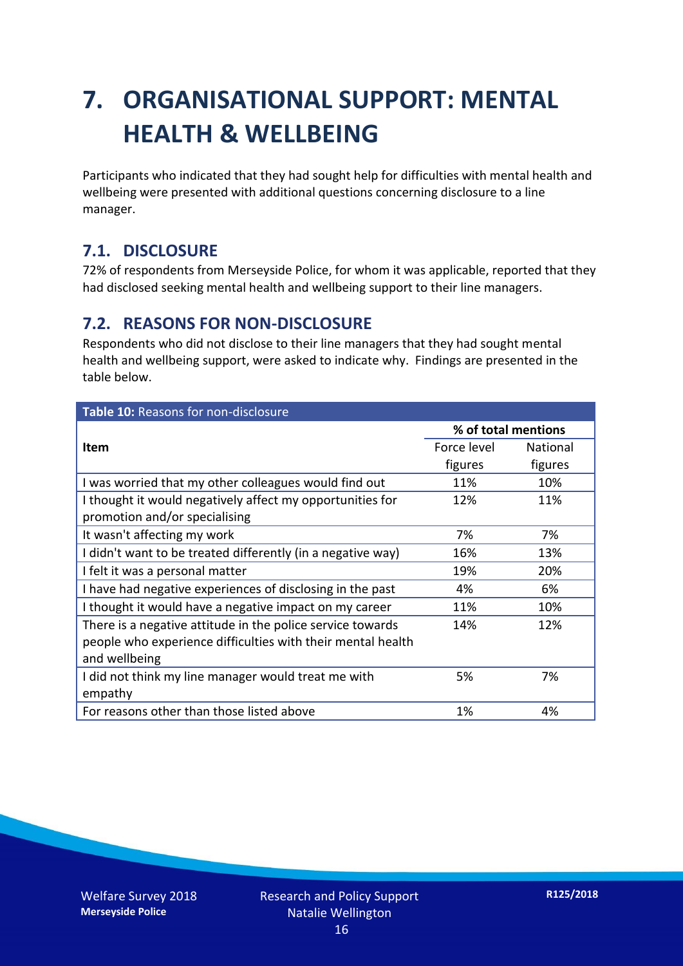## **7. ORGANISATIONAL SUPPORT: MENTAL HEALTH & WELLBEING**

Participants who indicated that they had sought help for difficulties with mental health and wellbeing were presented with additional questions concerning disclosure to a line manager.

#### **7.1. DISCLOSURE**

72% of respondents from Merseyside Police, for whom it was applicable, reported that they had disclosed seeking mental health and wellbeing support to their line managers.

#### **7.2. REASONS FOR NON-DISCLOSURE**

Respondents who did not disclose to their line managers that they had sought mental health and wellbeing support, were asked to indicate why. Findings are presented in the table below.

| Table 10: Reasons for non-disclosure                        |                     |          |  |  |
|-------------------------------------------------------------|---------------------|----------|--|--|
|                                                             | % of total mentions |          |  |  |
| <b>Item</b>                                                 | Force level         | National |  |  |
|                                                             | figures             | figures  |  |  |
| I was worried that my other colleagues would find out       | 11%                 | 10%      |  |  |
| I thought it would negatively affect my opportunities for   | 12%                 | 11%      |  |  |
| promotion and/or specialising                               |                     |          |  |  |
| It wasn't affecting my work                                 | 7%                  | 7%       |  |  |
| I didn't want to be treated differently (in a negative way) | 16%                 | 13%      |  |  |
| I felt it was a personal matter                             | 19%                 | 20%      |  |  |
| I have had negative experiences of disclosing in the past   | 4%                  | 6%       |  |  |
| I thought it would have a negative impact on my career      | 11%                 | 10%      |  |  |
| There is a negative attitude in the police service towards  | 14%                 | 12%      |  |  |
| people who experience difficulties with their mental health |                     |          |  |  |
| and wellbeing                                               |                     |          |  |  |
| I did not think my line manager would treat me with         | 5%                  | 7%       |  |  |
| empathy                                                     |                     |          |  |  |
| For reasons other than those listed above                   | 1%                  | 4%       |  |  |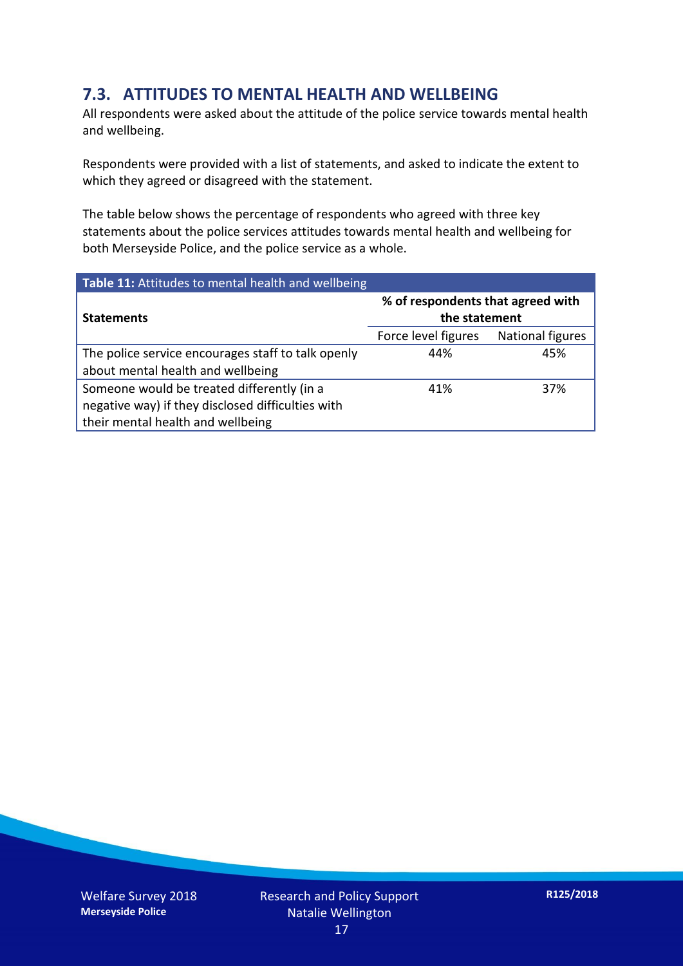#### **7.3. ATTITUDES TO MENTAL HEALTH AND WELLBEING**

All respondents were asked about the attitude of the police service towards mental health and wellbeing.

Respondents were provided with a list of statements, and asked to indicate the extent to which they agreed or disagreed with the statement.

The table below shows the percentage of respondents who agreed with three key statements about the police services attitudes towards mental health and wellbeing for both Merseyside Police, and the police service as a whole.

| Table 11: Attitudes to mental health and wellbeing |                                                    |                  |
|----------------------------------------------------|----------------------------------------------------|------------------|
| <b>Statements</b>                                  | % of respondents that agreed with<br>the statement |                  |
|                                                    | Force level figures                                | National figures |
| The police service encourages staff to talk openly | 44%                                                | 45%              |
| about mental health and wellbeing                  |                                                    |                  |
| Someone would be treated differently (in a         | 41%                                                | 37%              |
| negative way) if they disclosed difficulties with  |                                                    |                  |
| their mental health and wellbeing                  |                                                    |                  |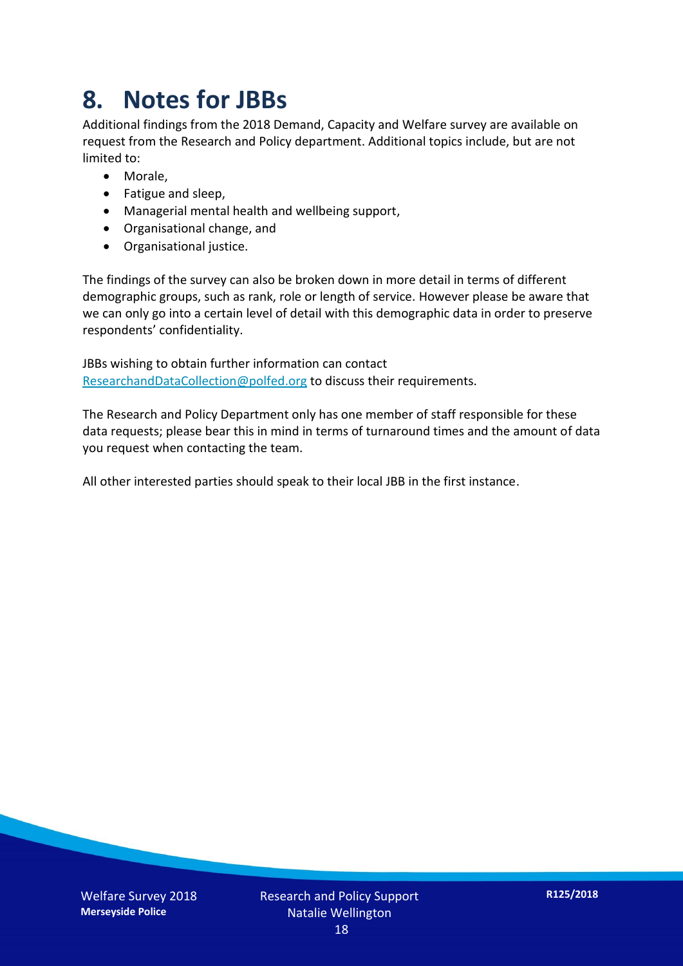### **8. Notes for JBBs**

Additional findings from the 2018 Demand, Capacity and Welfare survey are available on request from the Research and Policy department. Additional topics include, but are not limited to:

- Morale,
- Fatigue and sleep,
- Managerial mental health and wellbeing support,
- Organisational change, and
- Organisational justice.

The findings of the survey can also be broken down in more detail in terms of different demographic groups, such as rank, role or length of service. However please be aware that we can only go into a certain level of detail with this demographic data in order to preserve respondents' confidentiality.

JBBs wishing to obtain further information can contact [ResearchandDataCollection@polfed.org](mailto:ResearchandDataCollection@polfed.org) to discuss their requirements.

The Research and Policy Department only has one member of staff responsible for these data requests; please bear this in mind in terms of turnaround times and the amount of data you request when contacting the team.

All other interested parties should speak to their local JBB in the first instance.